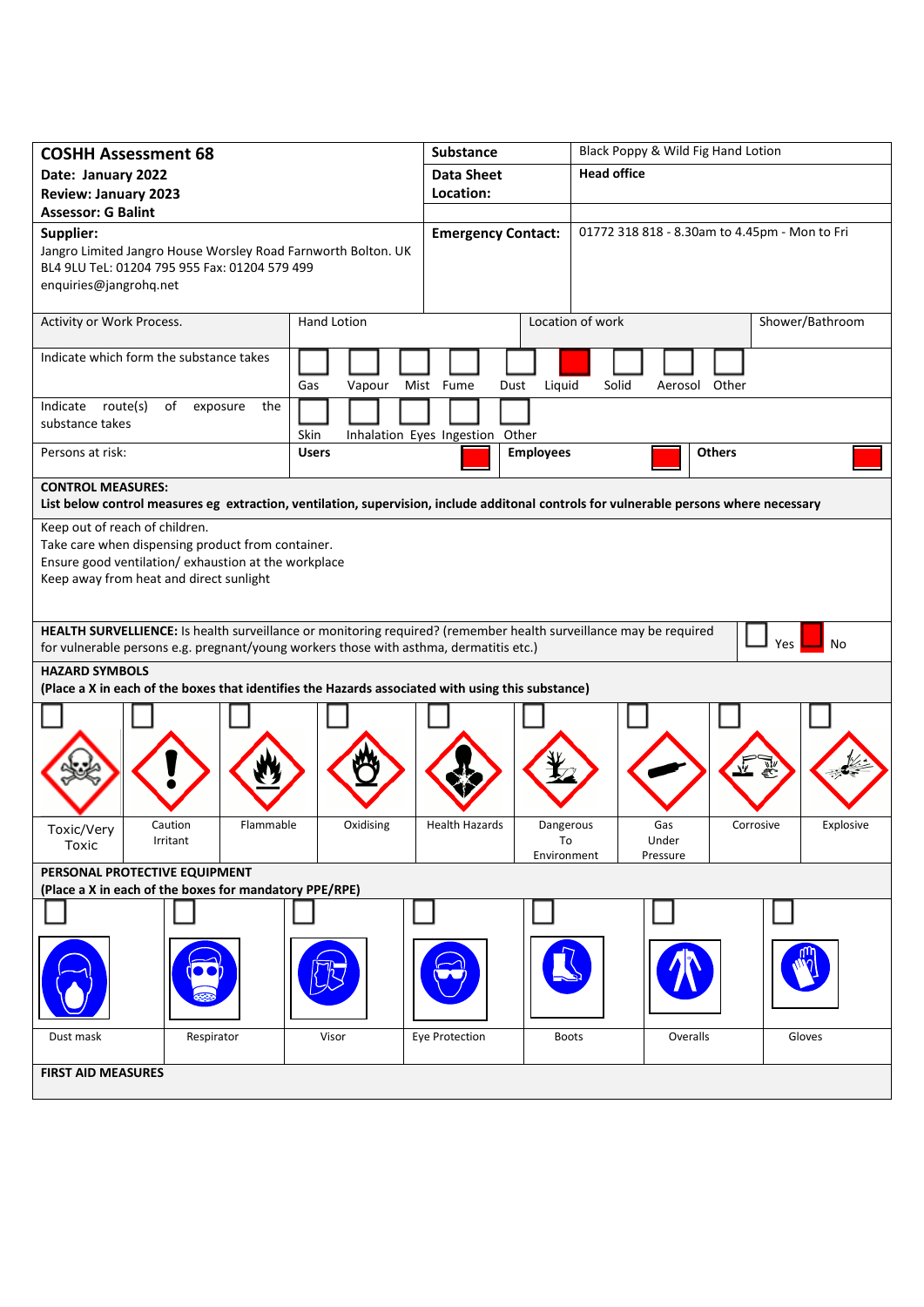| <b>COSHH Assessment 68</b>                                                                                                                                                                                               |               | Substance                          | Black Poppy & Wild Fig Hand Lotion            |                        |  |
|--------------------------------------------------------------------------------------------------------------------------------------------------------------------------------------------------------------------------|---------------|------------------------------------|-----------------------------------------------|------------------------|--|
| Date: January 2022                                                                                                                                                                                                       |               | <b>Data Sheet</b>                  | <b>Head office</b>                            |                        |  |
| <b>Review: January 2023</b>                                                                                                                                                                                              |               | Location:                          |                                               |                        |  |
| <b>Assessor: G Balint</b>                                                                                                                                                                                                |               |                                    |                                               |                        |  |
| Supplier:<br>Jangro Limited Jangro House Worsley Road Farnworth Bolton. UK<br>BL4 9LU TeL: 01204 795 955 Fax: 01204 579 499<br>enquiries@jangrohq.net                                                                    |               | <b>Emergency Contact:</b>          | 01772 318 818 - 8.30am to 4.45pm - Mon to Fri |                        |  |
| Activity or Work Process.                                                                                                                                                                                                | Hand Lotion   |                                    | Location of work                              | Shower/Bathroom        |  |
| Indicate which form the substance takes                                                                                                                                                                                  | Gas<br>Vapour | Mist Fume<br>Liquid<br>Dust        | Solid<br>Aerosol Other                        |                        |  |
| Indicate route(s)<br>of<br>the<br>exposure                                                                                                                                                                               |               |                                    |                                               |                        |  |
| substance takes                                                                                                                                                                                                          | Skin          | Inhalation Eyes Ingestion Other    |                                               |                        |  |
| Persons at risk:                                                                                                                                                                                                         | <b>Users</b>  | <b>Employees</b>                   | <b>Others</b>                                 |                        |  |
| <b>CONTROL MEASURES:</b>                                                                                                                                                                                                 |               |                                    |                                               |                        |  |
| List below control measures eg extraction, ventilation, supervision, include additonal controls for vulnerable persons where necessary                                                                                   |               |                                    |                                               |                        |  |
| Keep out of reach of children.<br>Take care when dispensing product from container.<br>Ensure good ventilation/ exhaustion at the workplace<br>Keep away from heat and direct sunlight                                   |               |                                    |                                               |                        |  |
| HEALTH SURVELLIENCE: Is health surveillance or monitoring required? (remember health surveillance may be required<br>Yes<br>No<br>for vulnerable persons e.g. pregnant/young workers those with asthma, dermatitis etc.) |               |                                    |                                               |                        |  |
| <b>HAZARD SYMBOLS</b><br>(Place a X in each of the boxes that identifies the Hazards associated with using this substance)                                                                                               |               |                                    |                                               |                        |  |
|                                                                                                                                                                                                                          |               |                                    |                                               |                        |  |
|                                                                                                                                                                                                                          |               |                                    |                                               |                        |  |
| Flammable<br>Caution<br>Toxic/Very<br>Irritant<br>Toxic                                                                                                                                                                  | Oxidising     | <b>Health Hazards</b><br>Dangerous | Gas<br>To<br>Under<br>Environment<br>Pressure | Corrosive<br>Explosive |  |
| PERSONAL PROTECTIVE EQUIPMENT                                                                                                                                                                                            |               |                                    |                                               |                        |  |
| (Place a X in each of the boxes for mandatory PPE/RPE)                                                                                                                                                                   |               |                                    |                                               |                        |  |
|                                                                                                                                                                                                                          |               |                                    |                                               |                        |  |
|                                                                                                                                                                                                                          |               |                                    |                                               |                        |  |
| Dust mask<br>Respirator                                                                                                                                                                                                  | Visor         | Eye Protection                     | Overalls<br><b>Boots</b>                      | Gloves                 |  |
| <b>FIRST AID MEASURES</b>                                                                                                                                                                                                |               |                                    |                                               |                        |  |